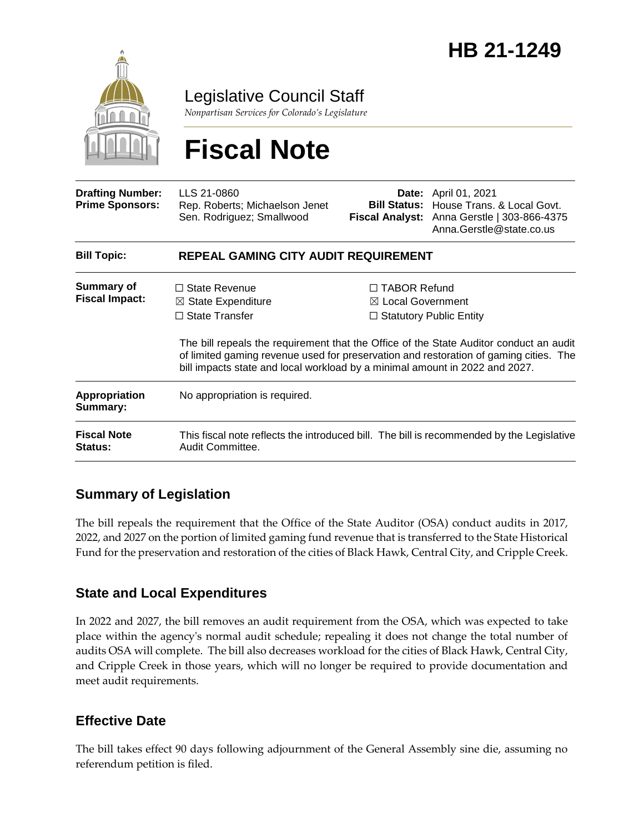

Legislative Council Staff

*Nonpartisan Services for Colorado's Legislature*

# **Fiscal Note**

| <b>Drafting Number:</b><br><b>Prime Sponsors:</b> | LLS 21-0860<br>Rep. Roberts; Michaelson Jenet<br>Sen. Rodriguez; Smallwood                                                                                                                                                                                                                                                                       | Date:                                               | April 01, 2021<br><b>Bill Status:</b> House Trans, & Local Govt.<br>Fiscal Analyst: Anna Gerstle   303-866-4375<br>Anna. Gerstle@state.co.us |  |
|---------------------------------------------------|--------------------------------------------------------------------------------------------------------------------------------------------------------------------------------------------------------------------------------------------------------------------------------------------------------------------------------------------------|-----------------------------------------------------|----------------------------------------------------------------------------------------------------------------------------------------------|--|
| <b>Bill Topic:</b>                                | <b>REPEAL GAMING CITY AUDIT REQUIREMENT</b>                                                                                                                                                                                                                                                                                                      |                                                     |                                                                                                                                              |  |
| <b>Summary of</b><br><b>Fiscal Impact:</b>        | $\Box$ State Revenue<br>$\boxtimes$ State Expenditure<br>$\Box$ State Transfer<br>The bill repeals the requirement that the Office of the State Auditor conduct an audit<br>of limited gaming revenue used for preservation and restoration of gaming cities. The<br>bill impacts state and local workload by a minimal amount in 2022 and 2027. | $\Box$ TABOR Refund<br>$\boxtimes$ Local Government | $\Box$ Statutory Public Entity                                                                                                               |  |
| Appropriation<br>Summary:                         | No appropriation is required.                                                                                                                                                                                                                                                                                                                    |                                                     |                                                                                                                                              |  |
| <b>Fiscal Note</b><br><b>Status:</b>              | This fiscal note reflects the introduced bill. The bill is recommended by the Legislative<br>Audit Committee.                                                                                                                                                                                                                                    |                                                     |                                                                                                                                              |  |

### **Summary of Legislation**

The bill repeals the requirement that the Office of the State Auditor (OSA) conduct audits in 2017, 2022, and 2027 on the portion of limited gaming fund revenue that is transferred to the State Historical Fund for the preservation and restoration of the cities of Black Hawk, Central City, and Cripple Creek.

#### **State and Local Expenditures**

In 2022 and 2027, the bill removes an audit requirement from the OSA, which was expected to take place within the agency's normal audit schedule; repealing it does not change the total number of audits OSA will complete. The bill also decreases workload for the cities of Black Hawk, Central City, and Cripple Creek in those years, which will no longer be required to provide documentation and meet audit requirements.

#### **Effective Date**

The bill takes effect 90 days following adjournment of the General Assembly sine die, assuming no referendum petition is filed.